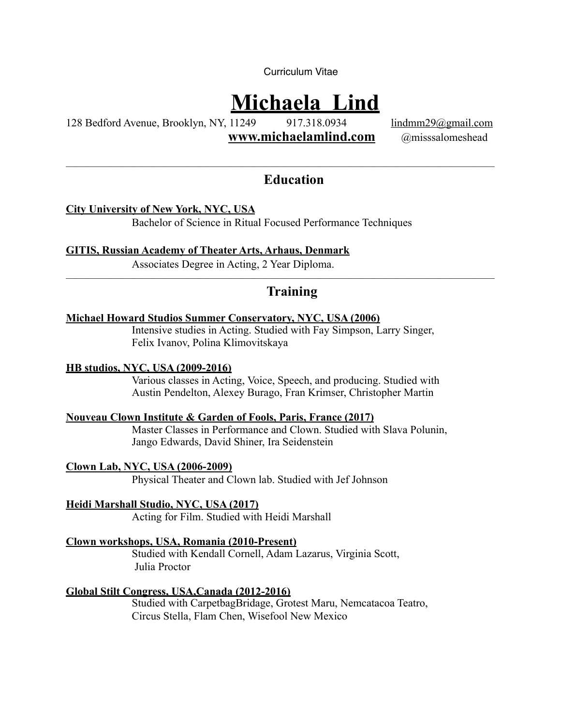Curriculum Vitae

# **Michaela Lind**

128 Bedford Avenue, Brooklyn, NY, 11249 917.318.0934 [lindmm29@gmail.com](mailto:lindmm29@gmail.com)

**[www.michaelamlind.com](http://www.michaelamlind.com)** @misssalomeshead

———————————————————————————————————————

## **Education**

**City University of New York, NYC, USA** 

Bachelor of Science in Ritual Focused Performance Techniques

**GITIS, Russian Academy of Theater Arts, Arhaus, Denmark** 

Associates Degree in Acting, 2 Year Diploma.

# **Training**

———————————————————————————————————————

### **Michael Howard Studios Summer Conservatory, NYC, USA (2006)**

 Intensive studies in Acting. Studied with Fay Simpson, Larry Singer, Felix Ivanov, Polina Klimovitskaya

#### **HB studios, NYC, USA (2009-2016)**

 Various classes in Acting, Voice, Speech, and producing. Studied with Austin Pendelton, Alexey Burago, Fran Krimser, Christopher Martin

#### **Nouveau Clown Institute & Garden of Fools, Paris, France (2017)**

 Master Classes in Performance and Clown. Studied with Slava Polunin, Jango Edwards, David Shiner, Ira Seidenstein

**Clown Lab, NYC, USA (2006-2009)** Physical Theater and Clown lab. Studied with Jef Johnson

**Heidi Marshall Studio, NYC, USA (2017)** Acting for Film. Studied with Heidi Marshall

### **Clown workshops, USA, Romania (2010-Present)**

 Studied with Kendall Cornell, Adam Lazarus, Virginia Scott, Julia Proctor

**Global Stilt Congress, USA,Canada (2012-2016)**

 Studied with CarpetbagBridage, Grotest Maru, Nemcatacoa Teatro, Circus Stella, Flam Chen, Wisefool New Mexico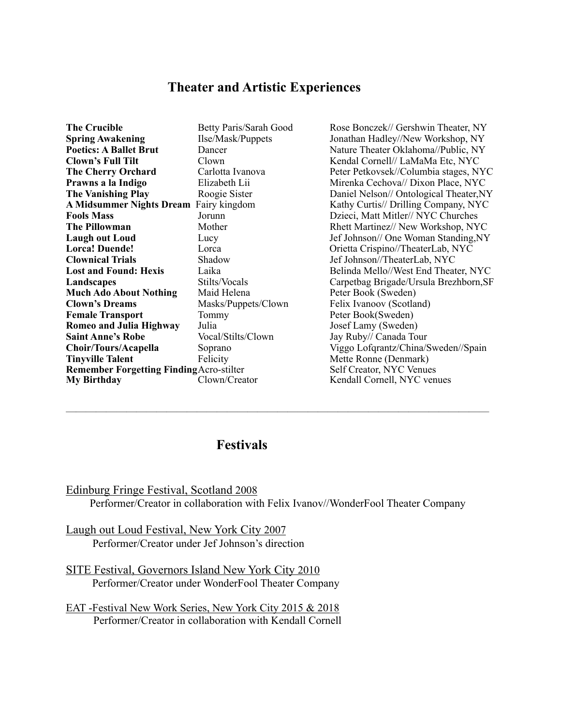## **Theater and Artistic Experiences**

| <b>The Crucible</b>                             | Betty Paris/Sarah Goo |
|-------------------------------------------------|-----------------------|
| <b>Spring Awakening</b>                         | Ilse/Mask/Puppets     |
| <b>Poetics: A Ballet Brut</b>                   | Dancer                |
| <b>Clown's Full Tilt</b>                        | Clown                 |
| <b>The Cherry Orchard</b>                       | Carlotta Ivanova      |
| Prawns a la Indigo                              | Elizabeth Lii         |
| <b>The Vanishing Play</b>                       | Roogie Sister         |
| <b>A Midsummer Nights Dream</b>                 | Fairy kingdom         |
| <b>Fools Mass</b>                               | Jorunn                |
| <b>The Pillowman</b>                            | Mother                |
| <b>Laugh out Loud</b>                           | Lucy                  |
| <b>Lorca! Duende!</b>                           | Lorca                 |
| <b>Clownical Trials</b>                         | Shadow                |
| <b>Lost and Found: Hexis</b>                    | Laika                 |
| Landscapes                                      | Stilts/Vocals         |
| <b>Much Ado About Nothing</b>                   | Maid Helena           |
| <b>Clown's Dreams</b>                           | Masks/Puppets/Clown   |
| <b>Female Transport</b>                         | Tommy                 |
| <b>Romeo and Julia Highway</b>                  | Julia                 |
| <b>Saint Anne's Robe</b>                        | Vocal/Stilts/Clown    |
| Choir/Tours/Acapella                            | Soprano               |
| <b>Tinyville Talent</b>                         | Felicity              |
| <b>Remember Forgetting Finding Acro-stilter</b> |                       |
| <b>My Birthday</b>                              | Clown/Creator         |

**The Crucible Bonczek// Gershwin Theater, NY Jonathan Hadley//New Workshop, NY Nature Theater Oklahoma//Public, NY** Kendal Cornell// LaMaMa Etc, NYC Peter Petkovsek//Columbia stages, NYC **Mirenka Cechova// Dixon Place, NYC Daniel Nelson// Ontological Theater,NY** Kathy Curtis// Drilling Company, NYC Dzieci, Matt Mitler// NYC Churches Rhett Martinez// New Workshop, NYC **Lef Johnson// One Woman Standing,NY Orietta Crispino//TheaterLab, NYC** Jef Johnson//TheaterLab, NYC Belinda Mello//West End Theater, NYC Carpetbag Brigade/Ursula Brezhborn,SF Peter Book (Sweden) Felix Ivanoov (Scotland) Peter Book(Sweden) **Josef Lamy (Sweden)** Jay Ruby// Canada Tour Viggo Lofqrantz/China/Sweden//Spain **Mette Ronne (Denmark) Self Creator, NYC Venues** Kendall Cornell, NYC venues

## **Festivals**

Edinburg Fringe Festival, Scotland 2008

Performer/Creator in collaboration with Felix Ivanov//WonderFool Theater Company

——————————————————————————————————————————

Laugh out Loud Festival, New York City 2007 Performer/Creator under Jef Johnson's direction

SITE Festival, Governors Island New York City 2010 Performer/Creator under WonderFool Theater Company

EAT -Festival New Work Series, New York City 2015 & 2018 Performer/Creator in collaboration with Kendall Cornell